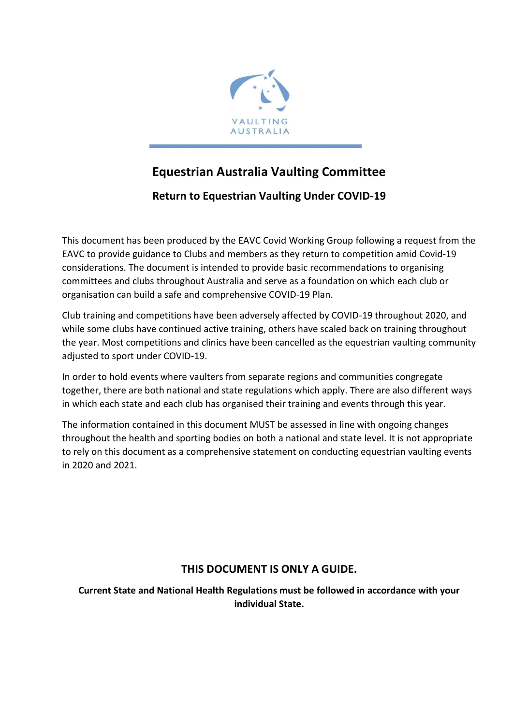

# **Equestrian Australia Vaulting Committee**

# **Return to Equestrian Vaulting Under COVID-19**

This document has been produced by the EAVC Covid Working Group following a request from the EAVC to provide guidance to Clubs and members as they return to competition amid Covid-19 considerations. The document is intended to provide basic recommendations to organising committees and clubs throughout Australia and serve as a foundation on which each club or organisation can build a safe and comprehensive COVID-19 Plan.

Club training and competitions have been adversely affected by COVID-19 throughout 2020, and while some clubs have continued active training, others have scaled back on training throughout the year. Most competitions and clinics have been cancelled as the equestrian vaulting community adjusted to sport under COVID-19.

In order to hold events where vaulters from separate regions and communities congregate together, there are both national and state regulations which apply. There are also different ways in which each state and each club has organised their training and events through this year.

The information contained in this document MUST be assessed in line with ongoing changes throughout the health and sporting bodies on both a national and state level. It is not appropriate to rely on this document as a comprehensive statement on conducting equestrian vaulting events in 2020 and 2021.

# **THIS DOCUMENT IS ONLY A GUIDE.**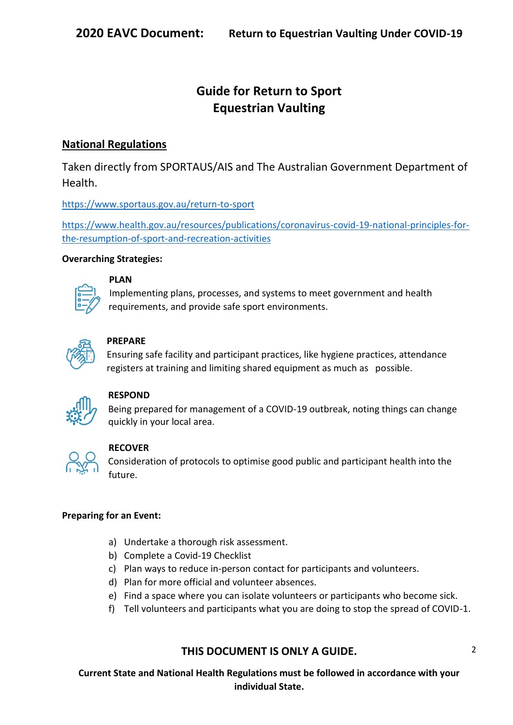# **Guide for Return to Sport Equestrian Vaulting**

# **National Regulations**

Taken directly from SPORTAUS/AIS and The Australian Government Department of Health.

<https://www.sportaus.gov.au/return-to-sport>

https://www.health.gov.au/resources/publications/coronavirus-covid-19-national-principles-forthe-resumption-of-sport-and-recreation-activities

# **Overarching Strategies:**

# **PLAN**

Implementing plans, processes, and systems to meet government and health requirements, and provide safe sport environments.



# **PREPARE**

Ensuring safe facility and participant practices, like hygiene practices, attendance registers at training and limiting shared equipment as much as possible.



# **RESPOND**

Being prepared for management of a COVID-19 outbreak, noting things can change quickly in your local area.



# **RECOVER**

Consideration of protocols to optimise good public and participant health into the future.

# **Preparing for an Event:**

- a) Undertake a thorough risk assessment.
- b) Complete a Covid-19 Checklist
- c) Plan ways to reduce in-person contact for participants and volunteers.
- d) Plan for more official and volunteer absences.
- e) Find a space where you can isolate volunteers or participants who become sick.
- f) Tell volunteers and participants what you are doing to stop the spread of COVID-1.

# **THIS DOCUMENT IS ONLY A GUIDE.**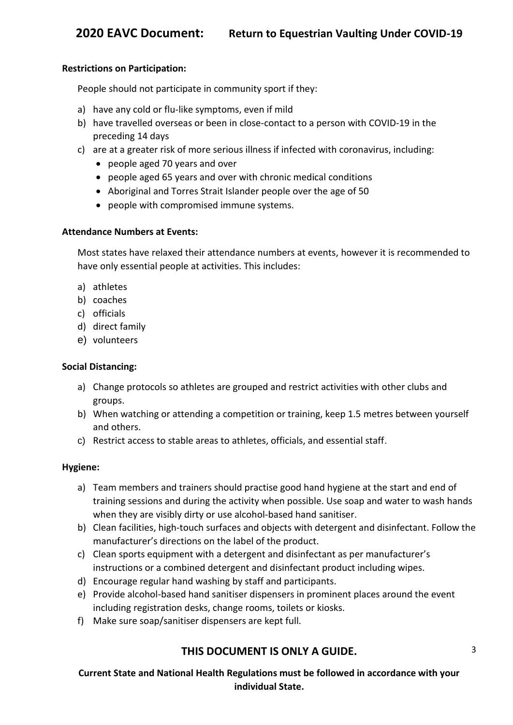#### **Restrictions on Participation:**

People should not participate in community sport if they:

- a) have any cold or flu-like symptoms, even if mild
- b) have travelled overseas or been in close-contact to a person with COVID-19 in the preceding 14 days
- c) are at a greater risk of more serious illness if infected with coronavirus, including:
	- people aged 70 years and over
	- people aged 65 years and over with chronic medical conditions
	- Aboriginal and Torres Strait Islander people over the age of 50
	- people with compromised immune systems.

#### **Attendance Numbers at Events:**

Most states have relaxed their attendance numbers at events, however it is recommended to have only essential people at activities. This includes:

- a) athletes
- b) coaches
- c) officials
- d) direct family
- e) volunteers

#### **Social Distancing:**

- a) Change protocols so athletes are grouped and restrict activities with other clubs and groups.
- b) When watching or attending a competition or training, keep 1.5 metres between yourself and others.
- c) Restrict access to stable areas to athletes, officials, and essential staff.

#### **Hygiene:**

- a) Team members and trainers should practise good hand hygiene at the start and end of training sessions and during the activity when possible. Use soap and water to wash hands when they are visibly dirty or use alcohol-based hand sanitiser.
- b) Clean facilities, high-touch surfaces and objects with detergent and disinfectant. Follow the manufacturer's directions on the label of the product.
- c) Clean sports equipment with a detergent and disinfectant as per manufacturer's instructions or a combined detergent and disinfectant product including wipes.
- d) Encourage regular hand washing by staff and participants.
- e) Provide alcohol-based hand sanitiser dispensers in prominent places around the event including registration desks, change rooms, toilets or kiosks.
- f) Make sure soap/sanitiser dispensers are kept full.

# **THIS DOCUMENT IS ONLY A GUIDE.**

3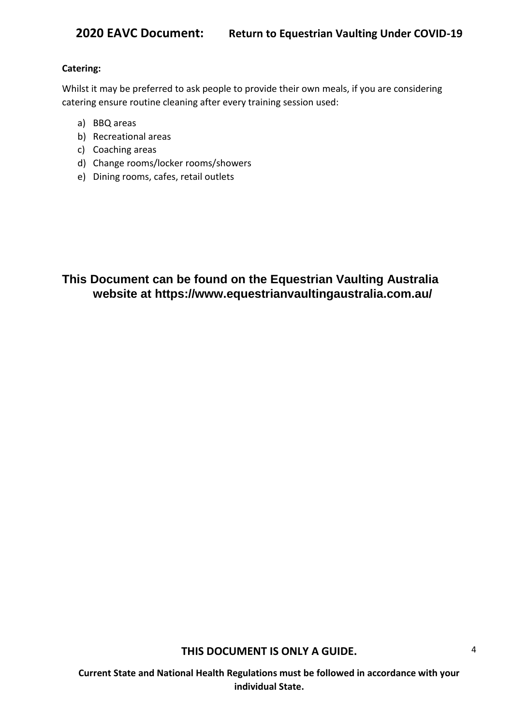#### **Catering:**

Whilst it may be preferred to ask people to provide their own meals, if you are considering catering ensure routine cleaning after every training session used:

- a) BBQ areas
- b) Recreational areas
- c) Coaching areas
- d) Change rooms/locker rooms/showers
- e) Dining rooms, cafes, retail outlets

**This Document can be found on the Equestrian Vaulting Australia website at https://www.equestrianvaultingaustralia.com.au/**

**THIS DOCUMENT IS ONLY A GUIDE.**